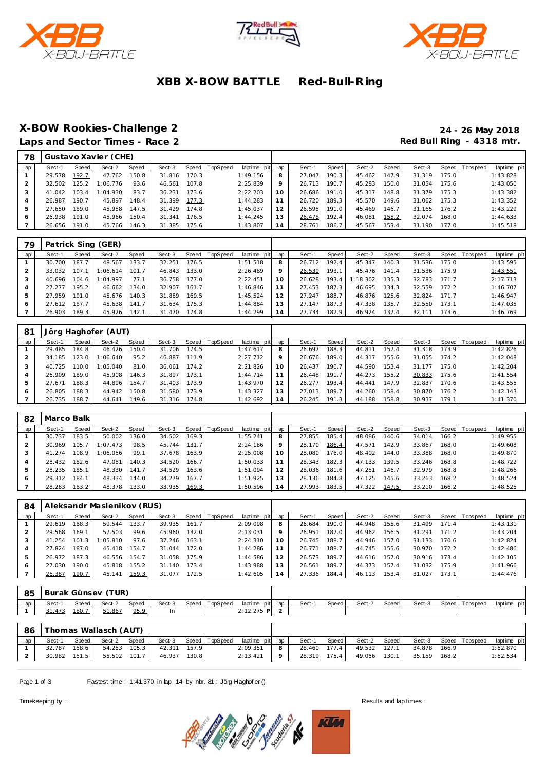





# **XBB X-BOW BATTLE Red-Bull-R ing**

# **X-BOW Rookies-Challenge 2 24 - 26 May 2018**

Laps and Sector Times - Race 2 **Red Bull Ring - 4318 mtr.** 

| 78      |        |         | Gustavo Xavier (CHE) |       |        |       |          |                 |    |        |       |        |       |        |         |                 |             |
|---------|--------|---------|----------------------|-------|--------|-------|----------|-----------------|----|--------|-------|--------|-------|--------|---------|-----------------|-------------|
| lap     | Sect-1 | Speed   | Sect-2               | Speed | Sect-3 | Speed | TopSpeed | laptime pit lap |    | Sect-1 | Speed | Sect-2 | Speed | Sect-3 |         | Speed Tops peed | laptime pit |
|         | 29.578 | 192.7   | 47.762               | 150.8 | 31.816 | 170.3 |          | 1:49.156        | 8  | 27.047 | 190.3 | 45.462 | 147.9 | 31.319 | 175.O I |                 | 1:43.828    |
|         | 32.502 | 125.2 l | 1:06.776             | 93.6  | 46.561 | 107.8 |          | 2:25.839        | 9  | 26.713 | 190.7 | 45.283 | 150.0 | 31.054 | 175.6 l |                 | 1:43.050    |
|         | 41.042 | 103.4   | 1:04.930             | 83.7  | 36.231 | 173.6 |          | 2:22.203        | 10 | 26.686 | 191.0 | 45.317 | 148.8 | 31.379 | 175.3   |                 | 1:43.382    |
|         | 26.987 | 190.7   | 45.897               | 148.4 | 31.399 | 177.3 |          | 1:44.283        |    | 26.720 | 189.3 | 45.570 | 149.6 | 31.062 | 175.3   |                 | 1:43.352    |
|         | 27.650 | 189.0   | 45.958               | 147.5 | 31.429 | 174.8 |          | 1:45.037        | 12 | 26.595 | 191.0 | 45.469 | 146.7 | 31.165 | 176.2   |                 | 1:43.229    |
| $\circ$ | 26.938 | 191.0   | 45.966               | 150.4 | 31.341 | 176.5 |          | 1:44.245        | 13 | 26.478 | 192.4 | 46.081 | 155.2 | 32.074 | 168.0   |                 | 1:44.633    |
|         | 26.656 | 191.0   | 45.766               | 146.3 | 31.385 | 175.6 |          | 1:43.807        | 14 | 28.761 | 186.7 | 45.567 | 153.4 | 31.190 | 177.0   |                 | 1:45.518    |

| 79  |        |       | Patrick Sing (GER) |       |        |         |          |                 |                |        |         |          |       |        |       |                   |             |
|-----|--------|-------|--------------------|-------|--------|---------|----------|-----------------|----------------|--------|---------|----------|-------|--------|-------|-------------------|-------------|
| lap | Sect-1 | Speed | Sect-2             | Speed | Sect-3 | Speed I | TopSpeed | laptime pit lap |                | Sect-1 | Speed I | Sect-2   | Speed | Sect-3 |       | Speed   Tops peed | laptime pit |
|     | 30.700 | 187.7 | 48.567             | 133.7 | 32.251 | 176.5   |          | 1:51.518        | 8              | 26.712 | 192.4   | 45.347   | 140.3 | 31.536 | 175.0 |                   | 1:43.595    |
|     | 33.032 | 107   | 1:06.614           | 101.7 | 46.843 | 133.0   |          | 2:26.489        | $\circ$        | 26.539 | 193.1   | 45.476   | 141.4 | 31.536 | 175.9 |                   | 1:43.551    |
|     | 40.696 | 104.6 | 1:04.997           | 77.1  | 36.758 | 177.0   |          | 2:22.451        | 10             | 26.628 | 193.4   | 1:18.302 | 135.3 | 32.783 | 171.7 |                   | 2:17.713    |
|     | 27.277 | 195.2 | 46.662             | 134.0 | 32.907 | 161.7   |          | 1:46.846        |                | 27.453 | 187.3   | 46.695   | 134.3 | 32.559 | 172.2 |                   | 1:46.707    |
|     | 27.959 | 191.0 | 45.676             | 140.3 | 31.889 | 169.5   |          | 1:45.524        | 12             | 27.247 | 188.7   | 46.876   | 125.6 | 32.824 | 171.7 |                   | 1:46.947    |
|     | 27.612 | 187.7 | 45.638             | 141.7 | 31.634 | 175.3   |          | 1:44.884        | 13             | 27.147 | 187.3   | 47.338   | 135.7 | 32.550 | 173.1 |                   | 1:47.035    |
|     | 26.903 | 189.3 | 45.926             | 142.1 | 31.470 | 174.8   |          | 1:44.299        | $\overline{4}$ | 27.734 | 182.9   | 46.924   | 137.4 | 32.111 | 173.6 |                   | 1:46.769    |

| -81 |        |       | Jörg Haghofer (AUT) |       |        |       |                |             |     |        |       |        |       |        |       |                |             |
|-----|--------|-------|---------------------|-------|--------|-------|----------------|-------------|-----|--------|-------|--------|-------|--------|-------|----------------|-------------|
| lap | Sect-1 | Speed | Sect-2              | Speed | Sect-3 |       | Speed TopSpeed | laptime pit | lap | Sect-1 | Speed | Sect-2 | Speed | Sect-3 |       | Speed Topspeed | laptime pit |
|     | 29.485 | 184.8 | 46.426              | 150.4 | 31.706 | 174.5 |                | 1:47.617    | 8   | 26.697 | 188.3 | 44.811 | 157.4 | 31.318 | 173.9 |                | 1:42.826    |
|     | 34.185 | 23.0  | 1:06.640            | 95.2  | 46.887 | 111.9 |                | 2:27.712    | 9   | 26.676 | 189.0 | 44.317 | 155.6 | 31.055 | 174.2 |                | 1:42.048    |
|     | 40.725 | 10.0  | 1:05.040            | 81.0  | 36.061 | 174.2 |                | 2:21.826    | 10  | 26.437 | 190.7 | 44.590 | 153.4 | 31.177 | 175.0 |                | 1:42.204    |
|     | 26.909 | 189.0 | 45.908              | 146.3 | 31.897 | 173.1 |                | 1:44.714    |     | 26.448 | 191.7 | 44.273 | 155.2 | 30.833 | 175.6 |                | 1:41.554    |
| 5   | 27.671 | 188.3 | 44.896              | 154.7 | 31.403 | 173.9 |                | 1:43.970    | 12  | 26.277 | 193.4 | 44.441 | 147.9 | 32.837 | 170.6 |                | 1:43.555    |
| 6   | 26.805 | 188.3 | 44.942              | 150.8 | 31.580 | 173.9 |                | 1:43.327    | 13  | 27.013 | 189.7 | 44.260 | 158.4 | 30.870 | 176.2 |                | 1:42.143    |
|     | 26.735 | 188.7 | 44.641              | 149.6 | 31.316 | 174.8 |                | 1:42.692    | 14  | 26.245 | 191.3 | 44.188 | 158.8 | 30.937 | 179.1 |                | 1:41.370    |

| 82  | Marco Balk |       |          |       |        |       |                |             |     |        |       |        |       |        |       |                 |             |
|-----|------------|-------|----------|-------|--------|-------|----------------|-------------|-----|--------|-------|--------|-------|--------|-------|-----------------|-------------|
| lap | Sect-1     | Speed | Sect-2   | Speed | Sect-3 |       | Speed TopSpeed | laptime pit | lap | Sect-1 | Speed | Sect-2 | Speed | Sect-3 |       | Speed Tops peed | laptime pit |
|     | 30.737     | 183.5 | 50.002   | 136.0 | 34.502 | 169.3 |                | 1:55.241    | 8   | 27.855 | 185.4 | 48.086 | 140.6 | 34.014 | 166.2 |                 | 1:49.955    |
|     | 30.969     | 105.7 | 1:07.473 | 98.5  | 45.744 | 131.7 |                | 2:24.186    | 9   | 28.170 | 186.4 | 47.571 | 142.9 | 33.867 | 168.0 |                 | 1:49.608    |
|     | 41.274     | 108.9 | 1:06.056 | 99.1  | 37.678 | 163.9 |                | 2:25.008    | 10  | 28.080 | 176.0 | 48.402 | 144.0 | 33.388 | 168.0 |                 | 1:49.870    |
|     | 28.432     | 182.6 | 47.081   | 140.3 | 34.520 | 166.7 |                | 1:50.033    | 11  | 28.343 | 182.3 | 47.133 | 139.5 | 33.246 | 168.8 |                 | 1:48.722    |
|     | 28.235     | 185.1 | 48.330   | 141.7 | 34.529 | 163.6 |                | 1:51.094    | 12  | 28.036 | 181.6 | 47.251 | 146.7 | 32.979 | 168.8 |                 | 1:48.266    |
| 6   | 29.312     | 184.1 | 48.334   | 144.0 | 34.279 | 167.7 |                | 1:51.925    | 13  | 28.136 | 184.8 | 47.125 | 145.6 | 33.263 | 168.2 |                 | 1:48.524    |
|     | 28.283     | 183.2 | 48.378   | 133.0 | 33.935 | 169.3 |                | 1:50.596    | 14  | 27.993 | 183.5 | 47.322 | 147.5 | 33.210 | 166.2 |                 | 1:48.525    |

| 84  |        |          | Aleksandr Maslenikov (RUS) |       |        |       |                |                 |    |        |       |        |        |        |       |                 |             |
|-----|--------|----------|----------------------------|-------|--------|-------|----------------|-----------------|----|--------|-------|--------|--------|--------|-------|-----------------|-------------|
| lap | Sect-1 | Speed    | Sect-2                     | Speed | Sect-3 |       | Speed TopSpeed | laptime pit lap |    | Sect-1 | Speed | Sect-2 | Speed  | Sect-3 |       | Speed Tops peed | laptime pit |
|     | 29.619 | 188.3    | 59.544                     | 133.7 | 39.935 | 161.7 |                | 2:09.098        | 8  | 26.684 | 190.0 | 44.948 | 155.6  | 31.499 | 171.4 |                 | 1:43.131    |
|     | 29.568 | 169.1    | 57.503                     | 99.6  | 45.960 | 132.0 |                | 2:13.031        |    | 26.951 | 187.0 | 44.962 | 156.5  | 31.291 | 171.2 |                 | 1:43.204    |
|     | 41.254 | 101<br>3 | 1:05.810                   | 97.6  | 37.246 | 163.1 |                | 2:24.310        | 10 | 26.745 | 188.7 | 44.946 | 157.0  | 31.133 | 170.6 |                 | 1:42.824    |
|     | 27.824 | 187.0    | 45.418                     | 154.7 | 31.044 | 172.0 |                | 1:44.286        |    | 26.771 | 188.7 | 44.745 | 155.6  | 30.970 | 172.2 |                 | 1:42.486    |
|     | 26.972 | 187.3    | 46.556                     | 154.7 | 31.058 | 175.9 |                | 1:44.586        | 12 | 26.573 | 189.7 | 44.616 | 157.01 | 30.916 | 173.4 |                 | 1:42.105    |
| 6   | 27.030 | 190.0    | 45.818                     | 155.2 | 31.140 | 173.4 |                | 1:43.988        |    | 26.561 | 189.7 | 44.373 | 157.4  | 31.032 | 175.9 |                 | 1:41.966    |
|     | 26.387 | 190.7    | 45.141                     | 159.3 | 31.077 | 172.5 |                | 1:42.605        | 14 | 27.336 | 184.4 | 46.113 | 153.4  | 31.027 | 173.1 |                 | 1:44.476    |

| -85 |        |       | Burak Günsev (TUR) |              |        |       |          |                 |        |       |        |       |        |            |            |             |
|-----|--------|-------|--------------------|--------------|--------|-------|----------|-----------------|--------|-------|--------|-------|--------|------------|------------|-------------|
| lap | Sect-1 | Speed | Sect-2             | <b>Speed</b> | Sect-3 | Speed | TopSpeed | laptime pit lap | Sect-1 | Speed | Sect-2 | Speed | Sect-3 | Speed   To | Tops pee d | laptime pit |
|     | 473    | 180   | 51.867             | 95.9         | -In    |       |          | $2:12.275$ P    |        |       |        |       |        |            |            |             |
|     |        |       |                    |              |        |       |          |                 |        |       |        |       |        |            |            |             |

|     | 86   Thomas Wallasch (AUT) |       |              |                                        |  |                                       |   |                                        |       |              |                           |                       |             |
|-----|----------------------------|-------|--------------|----------------------------------------|--|---------------------------------------|---|----------------------------------------|-------|--------------|---------------------------|-----------------------|-------------|
| lap | Sect-1                     | Speed | Sect-2 Speed |                                        |  | Sect-3 Speed TopSpeed laptime pit lap |   | Sect-1                                 | Speed | Sect-2 Speed |                           | Sect-3 Speed Topspeed | laptime pit |
|     |                            |       |              | 32.787 158.6 54.253 105.3 42.311 157.9 |  | 2:09.351                              | 8 | 28.460 177.4                           |       |              | 49.532 127.1 34.878 166.9 |                       | 1:52.870    |
|     |                            |       |              | 30.982 151.5 55.502 101.7 46.937 130.8 |  | $2:13.421$ 9                          |   | 28.319 175.4 49.056 130.1 35.159 168.2 |       |              |                           |                       | 1:52.534    |

Page 1 of 3 Fastest time : 1:41.370 in lap 14 by nbr. 81 : Jörg Haghof er ()



Timekeeping by : Results and lap times : Results and lap times : Results and lap times :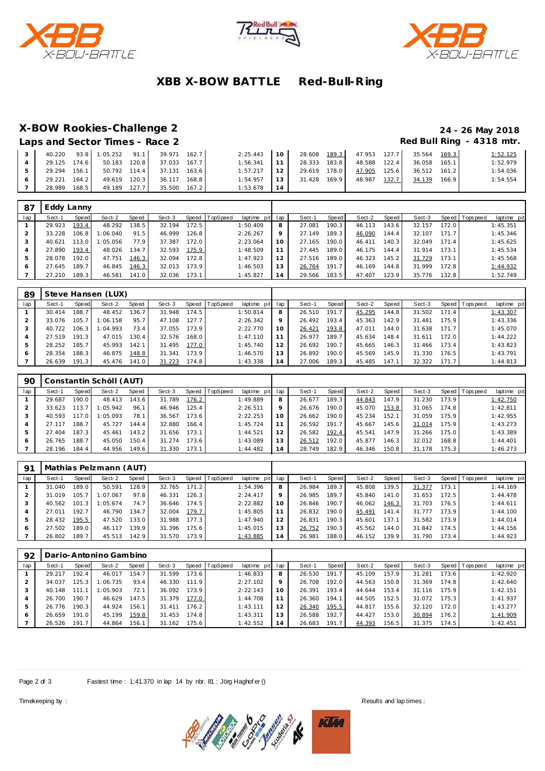





# **XBB X-BOW BATTLE Red-Bull-R ing**

### **X-BOW Rookies-Challenge 2 24 - 26 May 2018**

|                                | Z I ZU IVICIV ZU I U      |
|--------------------------------|---------------------------|
| Laps and Sector Times - Race 2 | Red Bull Ring - 4318 mtr. |

|              |       |                           | 40.220 93.8 1:05.252 91.1 39.971 162.7 |       | $2:25.443$ 10 |                                                             | 28.608 189.3 47.953 127.7 35.564 169.3 |              |       |              |       | 1:52.125 |
|--------------|-------|---------------------------|----------------------------------------|-------|---------------|-------------------------------------------------------------|----------------------------------------|--------------|-------|--------------|-------|----------|
|              |       | 29.125 174.6 50.183 120.8 | 37.033 167.7                           |       | 1:56.341      | $\vert$ 11 $\vert$                                          | 28.333 183.8                           | 48.588 122.4 |       | 36.058 165.1 |       | 1:52.979 |
|              |       |                           | 29.294 156.1 50.792 114.4 37.131 163.6 |       | 1:57.217      | $\vert$ 12                                                  | 29.619 178.0                           | 47.905 125.6 |       | 36.512 161.2 |       | 1:54.036 |
| 29.221 164.2 |       |                           | 49.619 120.3 36.117 168.8              |       | 1:54.957      | $\begin{array}{c} \begin{array}{c} \end{array} \end{array}$ | 31.428 169.9                           | 48.987       | 132.7 | 34.139       | 166.9 | 1:54.554 |
| 28.989       | 168.5 | 49.189 127.7              | 35.500                                 | 167.2 | 1:53.678      |                                                             |                                        |              |       |              |       |          |

| 87  | Eddy Lanny |       |          |       |        |       |          |                 |    |        |       |        |                    |        |         |                |             |
|-----|------------|-------|----------|-------|--------|-------|----------|-----------------|----|--------|-------|--------|--------------------|--------|---------|----------------|-------------|
| lap | Sect-1     | Speed | Sect-2   | Speed | Sect-3 | Speed | TopSpeed | laptime pit lap |    | Sect-1 | Speed | Sect-2 | Speed              | Sect-3 |         | Speed Topspeed | laptime pit |
|     | 29.923     | 193.4 | 48.292   | 138.5 | 32.194 | 172.5 |          | 1:50.409        |    | 27.081 | 190.3 | 46.113 | 143.6 <sub>1</sub> | 32.157 | 172.0 l |                | 1:45.351    |
|     | 33.228     | 106.8 | 1:06.040 | 91.5  | 46.999 | 126.8 |          | 2:26.267        |    | 27.149 | 189.3 | 46.090 | 144.4              | 32.107 | 171.7   |                | 1:45.346    |
|     | 40.621     | 113.0 | 1:05.056 | 77.9  | 37.387 | 172.0 |          | 2:23.064        | 10 | 27.165 | 190.0 | 46.411 | 140.3              | 32.049 | 171.4   |                | 1:45.625    |
|     | 27.890     | 193.4 | 48.026   | 134.7 | 32.593 | 175.9 |          | 1:48.509        |    | 27.445 | 189.0 | 46.175 | 144.4              | 31.914 | 173.1   |                | 1:45.534    |
|     | 28.078     | 192.0 | 47.751   | 146.3 | 32.094 | 172.8 |          | 1:47.923        | 12 | 27.516 | 189.0 | 46.323 | 145.2 <sub>1</sub> | 31.729 | 173.1   |                | 1:45.568    |
|     | 27.645     | 189.7 | 46.845   | 146.3 | 32.013 | 173.9 |          | 1:46.503        | 13 | 26.764 | 191.7 | 46.169 | 144.8              | 31.999 | 172.8   |                | 1:44.932    |
|     | 27.210     | 189.3 | 46.581   | 141.0 | 32.036 | 173.1 |          | 1:45.827        | 14 | 29.566 | 183.5 | 47.407 | 123.9              | 35.776 | 132.8   |                | 1:52.749    |

| 89  |        |       | Steve Hansen (LUX) |       |        |       |                  |             |     |        |       |        |       |        |       |                 |             |
|-----|--------|-------|--------------------|-------|--------|-------|------------------|-------------|-----|--------|-------|--------|-------|--------|-------|-----------------|-------------|
| lap | Sect-1 | Speed | Sect-2             | Speed | Sect-3 |       | Speed   TopSpeed | laptime pit | lap | Sect-1 | Speed | Sect-2 | Speed | Sect-3 |       | Speed Tops peed | laptime pit |
|     | 30.414 | 188.7 | 48.452             | 136.7 | 31.948 | 174.5 |                  | 1:50.814    | 8   | 26.510 | 191.7 | 45.295 | 144.8 | 31.502 | 171.4 |                 | 1:43.307    |
|     | 33.076 | 105.7 | 1:06.158           | 95.7  | 47.108 | 127.7 |                  | 2:26.342    | 9   | 26.492 | 193.4 | 45.363 | 142.9 | 31.481 | 175.9 |                 | 1:43.336    |
|     | 40.722 | 106.3 | 1:04.993           | 73.4  | 37.055 | 173.9 |                  | 2:22.770    | 10  | 26.421 | 193.8 | 47.011 | 144.0 | 31.638 | 171.7 |                 | 1:45.070    |
|     | 27.519 | 191.3 | 47.015             | 130.4 | 32.576 | 168.0 |                  | 1:47.110    | 11  | 26.977 | 189.7 | 45.634 | 148.4 | 31.611 | 172.0 |                 | 1:44.222    |
| 5   | 28.252 | 185.7 | 45.993             | 142.1 | 31.495 | 177.0 |                  | 1:45.740    | 12  | 26.692 | 190.7 | 45.665 | 146.3 | 31.466 | 173.4 |                 | 1:43.823    |
| 6   | 28.354 | 188.3 | 46.875             | 148.8 | 31.341 | 173.9 |                  | 1:46.570    | 13  | 26.892 | 190.0 | 45.569 | 145.9 | 31.330 | 176.5 |                 | 1:43.791    |
|     | 26.639 | 191.3 | 45.476             | 141.0 | 31.223 | 174.8 |                  | 1:43.338    | 14  | 27.006 | 189.3 | 45.485 | 147.1 | 32.322 | 171.7 |                 | 1:44.813    |

| 90  |        |       | Constantin Schöll (AUT) |       |        |       |                  |                 |         |        |              |        |       |        |       |            |             |
|-----|--------|-------|-------------------------|-------|--------|-------|------------------|-----------------|---------|--------|--------------|--------|-------|--------|-------|------------|-------------|
| lap | Sect-1 | Speed | Sect-2                  | Speed | Sect-3 |       | Speed   TopSpeed | laptime pit lap |         | Sect-1 | <b>Speed</b> | Sect-2 | Speed | Sect-3 | Speed | T ops peed | laptime pit |
|     | 29.687 | 190.0 | 48.413                  | 143.6 | 31.789 | 176.2 |                  | 1:49.889        | 8       | 26.677 | 189.3        | 44.843 | 147.9 | 31.230 | 173.9 |            | 1:42.750    |
|     | 33.623 | 113.7 | 1:05.942                | 96.1  | 46.946 | 125.4 |                  | 2:26.511        | $\circ$ | 26.676 | 190.0        | 45.070 | 153.8 | 31.065 | 174.8 |            | 1:42.811    |
| 3   | 40.593 | 117.0 | 1:05.093                | 78.1  | 36.567 | 173.6 |                  | 2:22.253        | 10      | 26.662 | 190.0        | 45.234 | 152.1 | 31.059 | 175.9 |            | 1:42.955    |
|     | 27.117 | 188.7 | 45.727                  | 144.4 | 32.880 | 166.4 |                  | 1:45.724        |         | 26.592 | 191.7        | 45.667 | 145.6 | 31.014 | 175.9 |            | 1:43.273    |
|     | 27.404 | 187.3 | 45.461                  | 143.2 | 31.656 | 173.1 |                  | 1:44.521        | 12      | 26.582 | 192.4        | 45.541 | 147.9 | 31.266 | 175.0 |            | 1:43.389    |
| 6   | 26.765 | 188.7 | 45.050                  | 150.4 | 31.274 | 173.6 |                  | 1:43.089        | 13      | 26.512 | 192.0        | 45.877 | 146.3 | 32.012 | 168.8 |            | 1:44.401    |
|     | 28.196 | 184.4 | 44.956                  | 149.6 | 31.330 | 173.1 |                  | 1:44.482        | 14      | 28.749 | 182.9        | 46.346 | 150.8 | 31.178 | 175.3 |            | 1:46.273    |

| -91 | Mathias Pelzmann (AUT) |           |          |       |        |       |                  |             |     |        |       |        |       |        |       |                 |             |
|-----|------------------------|-----------|----------|-------|--------|-------|------------------|-------------|-----|--------|-------|--------|-------|--------|-------|-----------------|-------------|
| lap | Sect-1                 | Speed     | Sect-2   | Speed | Sect-3 |       | Speed   TopSpeed | laptime pit | lap | Sect-1 | Speed | Sect-2 | Speed | Sect-3 |       | Speed Tops peed | laptime pit |
|     | 31.040                 | 189.0     | 50.591   | 128.9 | 32.765 | 171.2 |                  | 1:54.396    | 8   | 26.984 | 189.3 | 45.808 | 139.5 | 31.377 | 173.1 |                 | 1:44.169    |
|     | 31.019                 | 105.7     | 1:07.067 | 97.8  | 46.331 | 126.3 |                  | 2:24.417    | Q   | 26.985 | 189.7 | 45.840 | 141.0 | 31.653 | 172.5 |                 | 1:44.478    |
|     | 40.562                 | 101.<br>3 | 1:05.674 | 74.7  | 36.646 | 174.5 |                  | 2:22.882    | 10  | 26.846 | 190.7 | 46.062 | 146.3 | 31.703 | 176.5 |                 | 1:44.611    |
|     | 27.011                 | 192.7     | 46.790   | 134.7 | 32.004 | 179.7 |                  | 1:45.805    | 11  | 26.832 | 190.0 | 45.491 | 141.4 | 31.777 | 173.9 |                 | 1:44.100    |
| 5   | 28.432                 | 195.5     | 47.520   | 133.0 | 31.988 | 177.3 |                  | 1:47.940    | 12  | 26.831 | 190.3 | 45.601 | 137.1 | 31.582 | 173.9 |                 | 1:44.014    |
| 6   | 27.502                 | 189.0     | 46.117   | 139.9 | 31.396 | 175.6 |                  | 1:45.015    | 13  | 26.752 | 190.3 | 45.562 | 144.0 | 31.842 | 174.5 |                 | 1:44.156    |
|     | 26.802                 | 189.7     | 45.513   | 142.9 | 31.570 | 173.9 |                  | 1:43.885    | 14  | 26.981 | 188.0 | 46.152 | 139.9 | 31.790 | 173.4 |                 | 1:44.923    |

| 92  | Dario-Antonino Gambino |       |          |       |        |       |                |             |     |        |              |        |       |        |       |                 |             |
|-----|------------------------|-------|----------|-------|--------|-------|----------------|-------------|-----|--------|--------------|--------|-------|--------|-------|-----------------|-------------|
| lap | Sect-1                 | Speed | Sect-2   | Speed | Sect-3 |       | Speed TopSpeed | laptime pit | lap | Sect-1 | <b>Speed</b> | Sect-2 | Speed | Sect-3 |       | Speed Tops peed | laptime pit |
|     | 29.217                 | 192.4 | 46.017   | 154.7 | 31.599 | 173.6 |                | 1:46.833    | 8   | 26.530 | 191.7        | 45.109 | 157.9 | 31.281 | 173.6 |                 | 1:42.920    |
|     | 34.037                 | 25.3  | 1:06.735 | 93.4  | 46.330 | 111.9 |                | 2:27.102    | Q   | 26.708 | 192.0        | 44.563 | 150.8 | 31.369 | 174.8 |                 | 1:42.640    |
|     | 40.148                 |       | 1:05.903 | 72.1  | 36.092 | 173.9 |                | 2:22.143    | 10  | 26.391 | 193.4        | 44.644 | 153.4 | 31.116 | 175.9 |                 | 1:42.151    |
| 4   | 26.700                 | 190.7 | 46.629   | 147.5 | 31.379 | 177.0 |                | 1:44.708    | 11  | 26.360 | 194.1        | 44.505 | 152.5 | 31.072 | 175.3 |                 | 1:41.937    |
| 5   | 26.776                 | 190.3 | 44.924   | 156.1 | 31.411 | 176.2 |                | 1:43.111    | 12  | 26.340 | 195.5        | 44.817 | 155.6 | 32.120 | 172.0 |                 | 1:43.277    |
| 6   | 26.659                 | 191.0 | 45.199   | 159.8 | 31.453 | 174.8 |                | 1:43.311    | 13  | 26.588 | 192.7        | 44.427 | 153.0 | 30.894 | 176.2 |                 | 1:41.909    |
|     | 26.526                 | 191.7 | 44.864   | 156.1 | 31.162 | 175.6 |                | 1:42.552    | 14  | 26.683 | 191.7        | 44.393 | 156.5 | 31.375 | 174.5 |                 | 1:42.451    |

Page 2 of 3 Fastest time : 1:41.370 in lap 14 by nbr. 81 : Jörg Haghof er ()



Timekeeping by : Results and lap times : Results and lap times : Results and lap times :